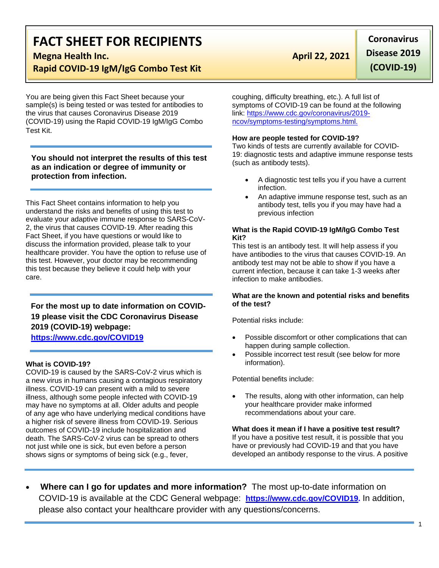# **FACT SHEET FOR RECIPIENTS**

**Megna Health Inc. April 22, 2021** 

## **Rapid COVID-19 IgM/IgG Combo Test Kit**

You are being given this Fact Sheet because your sample(s) is being tested or was tested for antibodies to the virus that causes Coronavirus Disease 2019 (COVID-19) using the Rapid COVID-19 IgM/IgG Combo Test Kit.

### **You should not interpret the results of this test as an indication or degree of immunity or protection from infection.**

This Fact Sheet contains information to help you understand the risks and benefits of using this test to evaluate your adaptive immune response to SARS-CoV-2, the virus that causes COVID-19. After reading this Fact Sheet, if you have questions or would like to discuss the information provided, please talk to your healthcare provider. You have the option to refuse use of this test. However, your doctor may be recommending this test because they believe it could help with your care.

### **For the most up to date information on COVID-19 please visit the CDC Coronavirus Disease 2019 (COVID-19) webpage:**

**[https://www.cdc.gov/COVID19](https://www.cdc.gov/nCoV)**

### **What is COVID-19?**

COVID-19 is caused by the SARS-CoV-2 virus which is a new virus in humans causing a contagious respiratory illness. COVID-19 can present with a mild to severe illness, although some people infected with COVID-19 may have no symptoms at all. Older adults and people of any age who have underlying medical conditions have a higher risk of severe illness from COVID-19. Serious outcomes of COVID-19 include hospitalization and death. The SARS-CoV-2 virus can be spread to others not just while one is sick, but even before a person shows signs or symptoms of being sick (e.g., fever,

**Coronavirus Disease 2019 (COVID-19)**

coughing, difficulty breathing, etc.). A full list of symptoms of COVID-19 can be found at the following link: [https://www.cdc.gov/coronavirus/2019](https://www.cdc.gov/coronavirus/2019-ncov/symptoms-testing/symptoms.html) [ncov/symptoms-testing/symptoms.html.](https://www.cdc.gov/coronavirus/2019-ncov/symptoms-testing/symptoms.html)

#### **How are people tested for COVID-19?**

Two kinds of tests are currently available for COVID-19: diagnostic tests and adaptive immune response tests (such as antibody tests).

- A diagnostic test tells you if you have a current infection.
- An adaptive immune response test, such as an antibody test, tells you if you may have had a previous infection

#### **What is the Rapid COVID-19 IgM/IgG Combo Test Kit?**

This test is an antibody test. It will help assess if you have antibodies to the virus that causes COVID-19. An antibody test may not be able to show if you have a current infection, because it can take 1-3 weeks after infection to make antibodies.

#### **What are the known and potential risks and benefits of the test?**

Potential risks include:

- Possible discomfort or other complications that can happen during sample collection.
- Possible incorrect test result (see below for more information).

Potential benefits include:

The results, along with other information, can help your healthcare provider make informed recommendations about your care.

**What does it mean if I have a positive test result?** If you have a positive test result, it is possible that you have or previously had COVID-19 and that you have developed an antibody response to the virus. A positive

• **Where can I go for updates and more information?** The most up-to-date information on COVID-19 is available at the CDC General webpage: **[https://www.cdc.gov/COVID19.](https://www.cdc.gov/nCoV)** In addition, please also contact your healthcare provider with any questions/concerns.